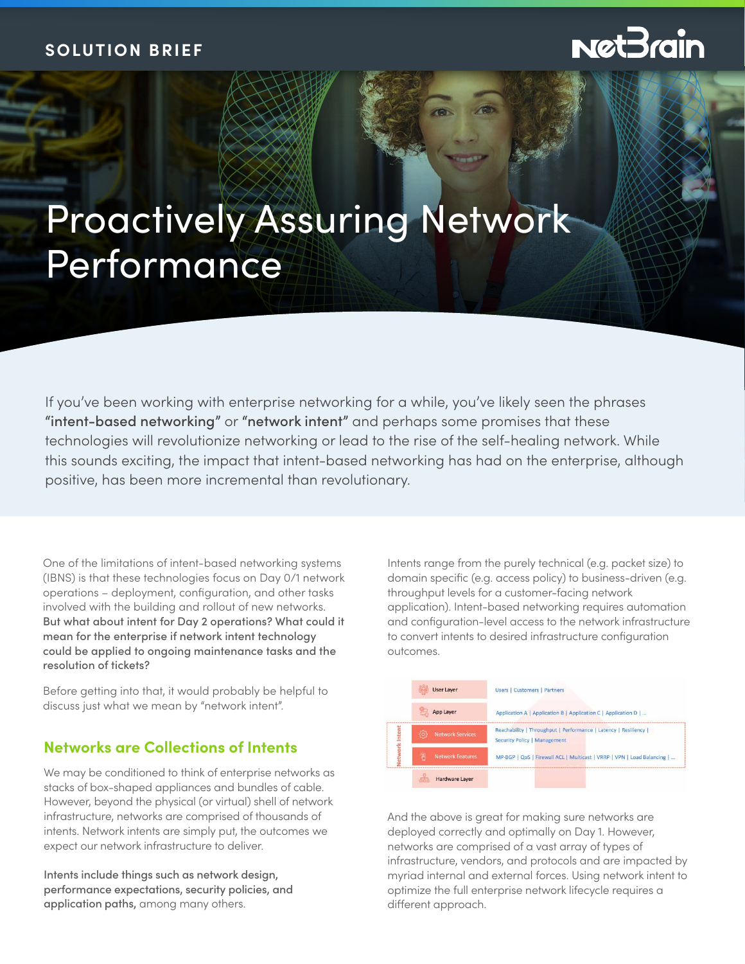# **NetBrain**

# Proactively Assuring Network Performance

If you've been working with enterprise networking for a while, you've likely seen the phrases "intent-based networking" or "network intent" and perhaps some promises that these technologies will revolutionize networking or lead to the rise of the self-healing network. While this sounds exciting, the impact that intent-based networking has had on the enterprise, although positive, has been more incremental than revolutionary.

One of the limitations of intent-based networking systems (IBNS) is that these technologies focus on Day 0/1 network operations – deployment, configuration, and other tasks involved with the building and rollout of new networks. But what about intent for Day 2 operations? What could it mean for the enterprise if network intent technology could be applied to ongoing maintenance tasks and the resolution of tickets?

Before getting into that, it would probably be helpful to discuss just what we mean by "network intent".

## **Networks are Collections of Intents**

We may be conditioned to think of enterprise networks as stacks of box-shaped appliances and bundles of cable. However, beyond the physical (or virtual) shell of network infrastructure, networks are comprised of thousands of intents. Network intents are simply put, the outcomes we expect our network infrastructure to deliver.

Intents include things such as network design, performance expectations, security policies, and application paths, among many others.

Intents range from the purely technical (e.g. packet size) to domain specific (e.g. access policy) to business-driven (e.g. throughput levels for a customer-facing network application). Intent-based networking requires automation and configuration-level access to the network infrastructure to convert intents to desired infrastructure configuration outcomes.



And the above is great for making sure networks are deployed correctly and optimally on Day 1. However, networks are comprised of a vast array of types of infrastructure, vendors, and protocols and are impacted by myriad internal and external forces. Using network intent to optimize the full enterprise network lifecycle requires a different approach.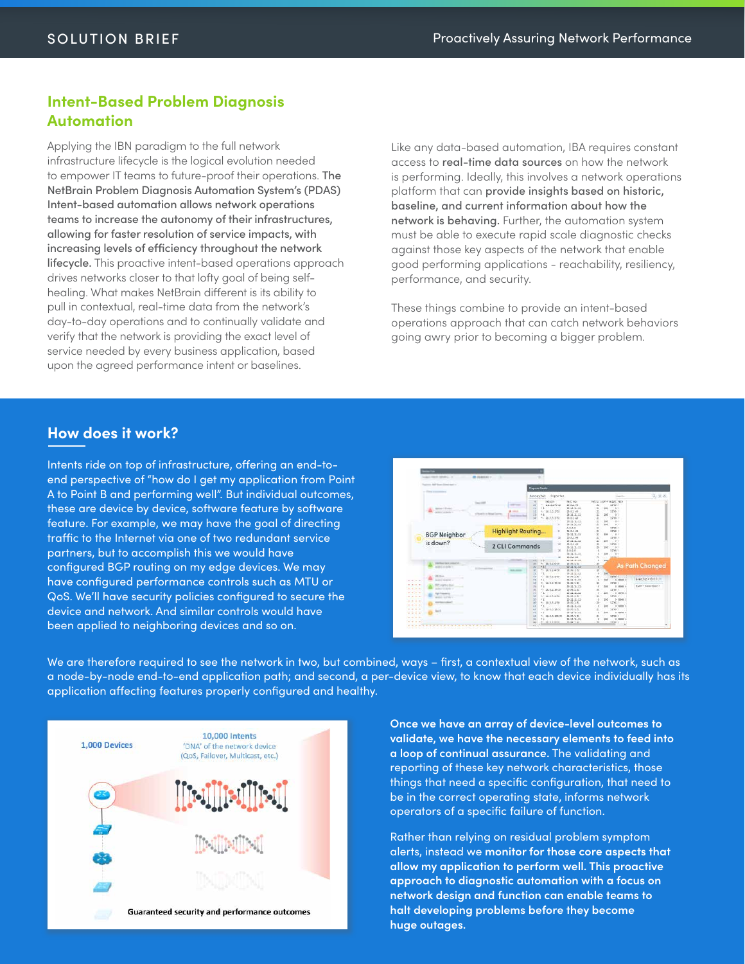#### **Intent-Based Problem Diagnosis Automation**

Applying the IBN paradigm to the full network infrastructure lifecycle is the logical evolution needed to empower IT teams to future-proof their operations. The NetBrain Problem Diagnosis Automation System's (PDAS) Intent-based automation allows network operations teams to increase the autonomy of their infrastructures, allowing for faster resolution of service impacts, with increasing levels of efficiency throughout the network lifecycle. This proactive intent-based operations approach drives networks closer to that lofty goal of being selfhealing. What makes NetBrain different is its ability to pull in contextual, real-time data from the network's day-to-day operations and to continually validate and verify that the network is providing the exact level of service needed by every business application, based upon the agreed performance intent or baselines.

Like any data-based automation, IBA requires constant access to real-time data sources on how the network is performing. Ideally, this involves a network operations platform that can provide insights based on historic, baseline, and current information about how the network is behaving. Further, the automation system must be able to execute rapid scale diagnostic checks against those key aspects of the network that enable good performing applications - reachability, resiliency, performance, and security.

These things combine to provide an intent-based operations approach that can catch network behaviors going awry prior to becoming a bigger problem.

### **How does it work?**

Intents ride on top of infrastructure, offering an end-toend perspective of "how do I get my application from Point A to Point B and performing well". But individual outcomes, these are device by device, software feature by software feature. For example, we may have the goal of directing traffic to the Internet via one of two redundant service partners, but to accomplish this we would have configured BGP routing on my edge devices. We may have configured performance controls such as MTU or QoS. We'll have security policies configured to secure the device and network. And similar controls would have been applied to neighboring devices and so on.



We are therefore required to see the network in two, but combined, ways – first, a contextual view of the network, such as a node-by-node end-to-end application path; and second, a per-device view, to know that each device individually has its application affecting features properly configured and healthy.



**Once we have an array of device-level outcomes to validate, we have the necessary elements to feed into a loop of continual assurance.** The validating and reporting of these key network characteristics, those things that need a specific configuration, that need to be in the correct operating state, informs network operators of a specific failure of function.

Rather than relying on residual problem symptom alerts, instead we **monitor for those core aspects that allow my application to perform well. This proactive approach to diagnostic automation with a focus on network design and function can enable teams to halt developing problems before they become huge outages.**